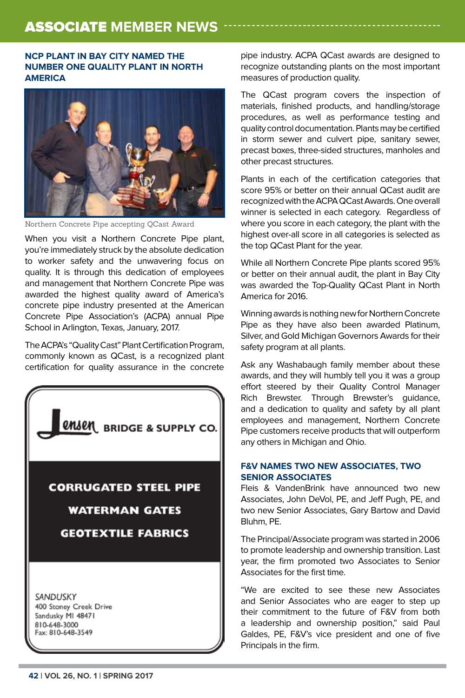## **NCP PLANT IN BAY CITY NAMED THE NUMBER ONE QUALITY PLANT IN NORTH AMERICA**



Northern Concrete Pipe accepting QCast Award

When you visit a Northern Concrete Pipe plant, you're immediately struck by the absolute dedication to worker safety and the unwavering focus on quality. It is through this dedication of employees and management that Northern Concrete Pipe was awarded the highest quality award of America's concrete pipe industry presented at the American Concrete Pipe Association's (ACPA) annual Pipe School in Arlington, Texas, January, 2017.

The ACPA's "Quality Cast" Plant Certification Program, commonly known as QCast, is a recognized plant certification for quality assurance in the concrete



pipe industry. ACPA QCast awards are designed to recognize outstanding plants on the most important measures of production quality.

The QCast program covers the inspection of materials, finished products, and handling/storage procedures, as well as performance testing and quality control documentation. Plants may be certified in storm sewer and culvert pipe, sanitary sewer, precast boxes, three-sided structures, manholes and other precast structures.

Plants in each of the certification categories that score 95% or better on their annual QCast audit are recognized with the ACPA QCast Awards. One overall winner is selected in each category. Regardless of where you score in each category, the plant with the highest over-all score in all categories is selected as the top QCast Plant for the year.

While all Northern Concrete Pipe plants scored 95% or better on their annual audit, the plant in Bay City was awarded the Top-Quality QCast Plant in North America for 2016.

Winning awards is nothing new for Northern Concrete Pipe as they have also been awarded Platinum, Silver, and Gold Michigan Governors Awards for their safety program at all plants.

Ask any Washabaugh family member about these awards, and they will humbly tell you it was a group effort steered by their Quality Control Manager Rich Brewster. Through Brewster's guidance, and a dedication to quality and safety by all plant employees and management, Northern Concrete Pipe customers receive products that will outperform any others in Michigan and Ohio.

## **F&V NAMES TWO NEW ASSOCIATES, TWO SENIOR ASSOCIATES**

Fleis & VandenBrink have announced two new Associates, John DeVol, PE, and Jeff Pugh, PE, and two new Senior Associates, Gary Bartow and David Bluhm, PE.

The Principal/Associate program was started in 2006 to promote leadership and ownership transition. Last year, the firm promoted two Associates to Senior Associates for the first time.

"We are excited to see these new Associates and Senior Associates who are eager to step up their commitment to the future of F&V from both a leadership and ownership position," said Paul Galdes, PE, F&V's vice president and one of five Principals in the firm.